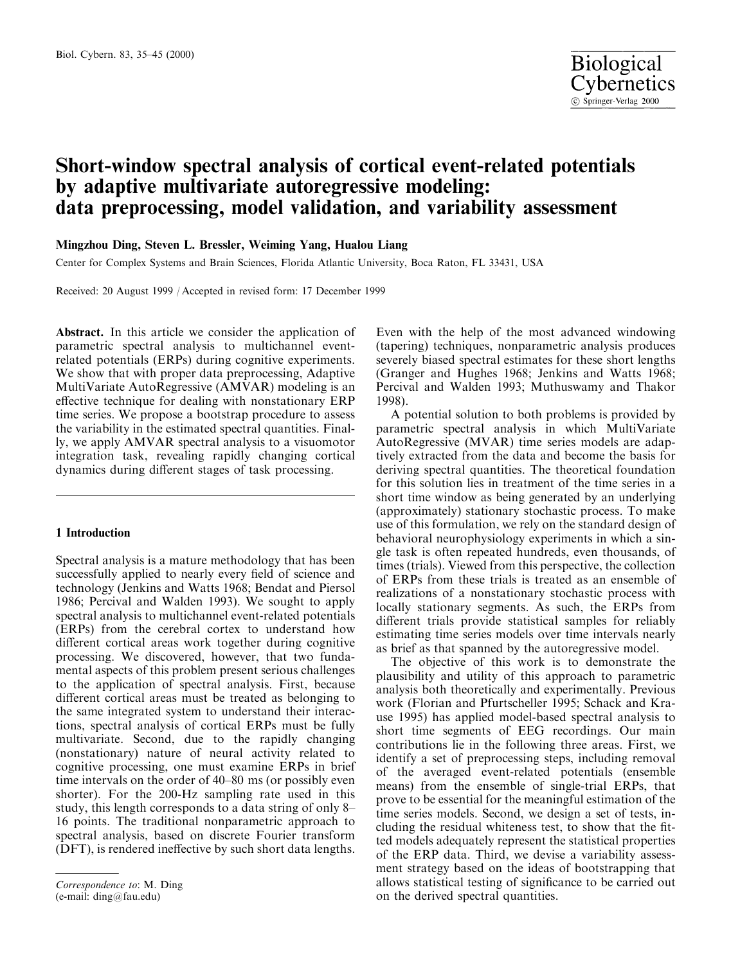# Short-window spectral analysis of cortical event-related potentials by adaptive multivariate autoregressive modeling: data preprocessing, model validation, and variability assessment

Mingzhou Ding, Steven L. Bressler, Weiming Yang, Hualou Liang

Center for Complex Systems and Brain Sciences, Florida Atlantic University, Boca Raton, FL 33431, USA

Received: 20 August 1999 / Accepted in revised form: 17 December 1999

Abstract. In this article we consider the application of parametric spectral analysis to multichannel eventrelated potentials (ERPs) during cognitive experiments. We show that with proper data preprocessing, Adaptive MultiVariate AutoRegressive (AMVAR) modeling is an effective technique for dealing with nonstationary ERP time series. We propose a bootstrap procedure to assess the variability in the estimated spectral quantities. Finally, we apply AMVAR spectral analysis to a visuomotor integration task, revealing rapidly changing cortical dynamics during different stages of task processing.

#### 1 Introduction

Spectral analysis is a mature methodology that has been successfully applied to nearly every field of science and technology (Jenkins and Watts 1968; Bendat and Piersol 1986; Percival and Walden 1993). We sought to apply spectral analysis to multichannel event-related potentials (ERPs) from the cerebral cortex to understand how different cortical areas work together during cognitive processing. We discovered, however, that two fundamental aspects of this problem present serious challenges to the application of spectral analysis. First, because different cortical areas must be treated as belonging to the same integrated system to understand their interactions, spectral analysis of cortical ERPs must be fully multivariate. Second, due to the rapidly changing (nonstationary) nature of neural activity related to cognitive processing, one must examine ERPs in brief time intervals on the order of 40–80 ms (or possibly even shorter). For the 200-Hz sampling rate used in this study, this length corresponds to a data string of only 8 $-$ 16 points. The traditional nonparametric approach to spectral analysis, based on discrete Fourier transform (DFT), is rendered ineffective by such short data lengths.

Even with the help of the most advanced windowing (tapering) techniques, nonparametric analysis produces severely biased spectral estimates for these short lengths (Granger and Hughes 1968; Jenkins and Watts 1968; Percival and Walden 1993; Muthuswamy and Thakor 1998).

A potential solution to both problems is provided by parametric spectral analysis in which MultiVariate AutoRegressive (MVAR) time series models are adaptively extracted from the data and become the basis for deriving spectral quantities. The theoretical foundation for this solution lies in treatment of the time series in a short time window as being generated by an underlying (approximately) stationary stochastic process. To make use of this formulation, we rely on the standard design of behavioral neurophysiology experiments in which a single task is often repeated hundreds, even thousands, of times (trials). Viewed from this perspective, the collection of ERPs from these trials is treated as an ensemble of realizations of a nonstationary stochastic process with locally stationary segments. As such, the ERPs from different trials provide statistical samples for reliably estimating time series models over time intervals nearly as brief as that spanned by the autoregressive model.

The objective of this work is to demonstrate the plausibility and utility of this approach to parametric analysis both theoretically and experimentally. Previous work (Florian and Pfurtscheller 1995; Schack and Krause 1995) has applied model-based spectral analysis to short time segments of EEG recordings. Our main contributions lie in the following three areas. First, we identify a set of preprocessing steps, including removal of the averaged event-related potentials (ensemble means) from the ensemble of single-trial ERPs, that prove to be essential for the meaningful estimation of the time series models. Second, we design a set of tests, including the residual whiteness test, to show that the fitted models adequately represent the statistical properties of the ERP data. Third, we devise a variability assessment strategy based on the ideas of bootstrapping that allows statistical testing of significance to be carried out on the derived spectral quantities.

Correspondence to: M. Ding

<sup>(</sup>e-mail: ding@fau.edu)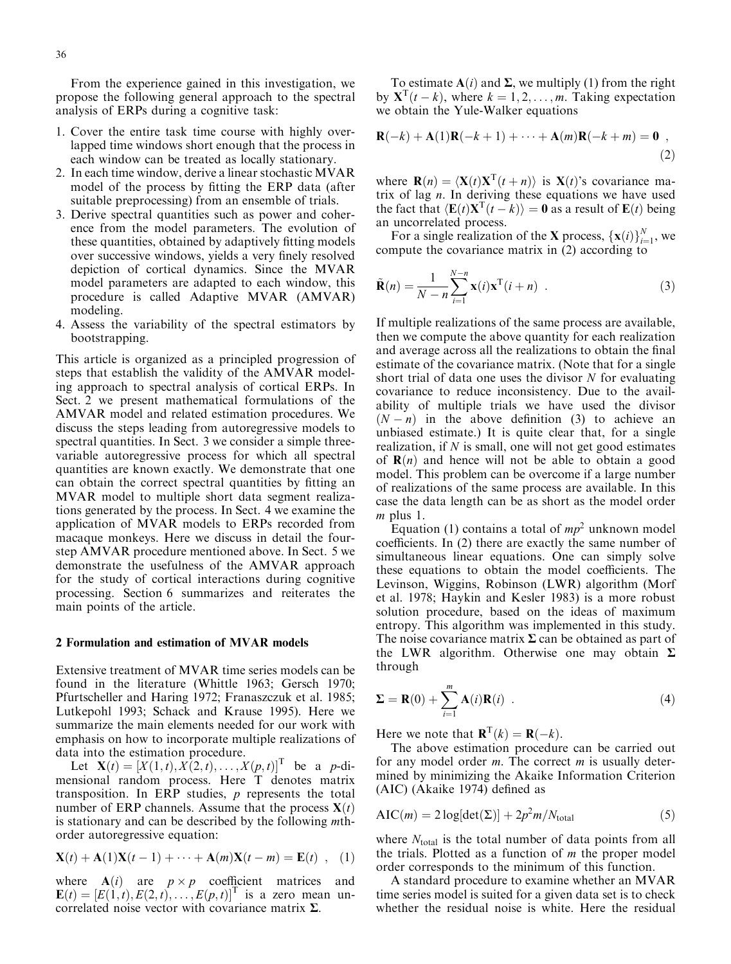From the experience gained in this investigation, we propose the following general approach to the spectral analysis of ERPs during a cognitive task:

- 1. Cover the entire task time course with highly overlapped time windows short enough that the process in each window can be treated as locally stationary.
- 2. In each time window, derive a linear stochastic MVAR model of the process by fitting the ERP data (after suitable preprocessing) from an ensemble of trials.
- 3. Derive spectral quantities such as power and coherence from the model parameters. The evolution of these quantities, obtained by adaptively fitting models over successive windows, yields a very finely resolved depiction of cortical dynamics. Since the MVAR model parameters are adapted to each window, this procedure is called Adaptive MVAR (AMVAR) modeling.
- 4. Assess the variability of the spectral estimators by bootstrapping.

This article is organized as a principled progression of steps that establish the validity of the AMVAR modeling approach to spectral analysis of cortical ERPs. In Sect. 2 we present mathematical formulations of the AMVAR model and related estimation procedures. We discuss the steps leading from autoregressive models to spectral quantities. In Sect. 3 we consider a simple threevariable autoregressive process for which all spectral quantities are known exactly. We demonstrate that one can obtain the correct spectral quantities by fitting an MVAR model to multiple short data segment realizations generated by the process. In Sect. 4 we examine the application of MVAR models to ERPs recorded from macaque monkeys. Here we discuss in detail the fourstep AMVAR procedure mentioned above. In Sect. 5 we demonstrate the usefulness of the AMVAR approach for the study of cortical interactions during cognitive processing. Section 6 summarizes and reiterates the main points of the article.

#### 2 Formulation and estimation of MVAR models

Extensive treatment of MVAR time series models can be found in the literature (Whittle 1963; Gersch 1970; Pfurtscheller and Haring 1972; Franaszczuk et al. 1985; Lutkepohl 1993; Schack and Krause 1995). Here we summarize the main elements needed for our work with emphasis on how to incorporate multiple realizations of data into the estimation procedure.

Let  $\mathbf{X}(t) = [X(1, t), X(2, t), \dots, X(p, t)]^{\text{T}}$  be a *p*-dimensional random process. Here T denotes matrix transposition. In ERP studies,  $p$  represents the total number of ERP channels. Assume that the process  $X(t)$ is stationary and can be described by the following mthorder autoregressive equation:

$$
\mathbf{X}(t) + \mathbf{A}(1)\mathbf{X}(t-1) + \cdots + \mathbf{A}(m)\mathbf{X}(t-m) = \mathbf{E}(t) , (1)
$$

where  $A(i)$  are  $p \times p$  coefficient matrices and  $\mathbf{E}(t) = [E(1, t), E(2, t), \dots, E(p, t)]^{T}$  is a zero mean uncorrelated noise vector with covariance matrix  $\Sigma$ .

To estimate  $A(i)$  and  $\Sigma$ , we multiply (1) from the right by  $X^{T}(t - k)$ , where  $k = 1, 2, ..., m$ . Taking expectation we obtain the Yule-Walker equations

$$
\mathbf{R}(-k) + \mathbf{A}(1)\mathbf{R}(-k+1) + \dots + \mathbf{A}(m)\mathbf{R}(-k+m) = \mathbf{0} \tag{2}
$$

where  $\mathbf{R}(n) = \langle \mathbf{X}(t) \mathbf{X}^{\text{T}}(t+n) \rangle$  is  $\mathbf{X}(t)$ 's covariance matrix of lag  $n$ . In deriving these equations we have used the fact that  $\langle E(t)X^{T}(t-k)\rangle = 0$  as a result of  $E(t)$  being an uncorrelated process.

For a single realization of the **X** process,  $\{x(i)\}_{i=1}^{N}$ , we compute the covariance matrix in (2) according to

$$
\tilde{\mathbf{R}}(n) = \frac{1}{N-n} \sum_{i=1}^{N-n} \mathbf{x}(i) \mathbf{x}^{T}(i+n) .
$$
 (3)

If multiple realizations of the same process are available, then we compute the above quantity for each realization and average across all the realizations to obtain the final estimate of the covariance matrix. (Note that for a single short trial of data one uses the divisor  $N$  for evaluating covariance to reduce inconsistency. Due to the availability of multiple trials we have used the divisor  $(N - n)$  in the above definition (3) to achieve an unbiased estimate.) It is quite clear that, for a single realization, if  $N$  is small, one will not get good estimates of  $\mathbf{R}(n)$  and hence will not be able to obtain a good model. This problem can be overcome if a large number of realizations of the same process are available. In this case the data length can be as short as the model order m plus 1.

Equation (1) contains a total of  $mp^2$  unknown model coefficients. In  $(2)$  there are exactly the same number of simultaneous linear equations. One can simply solve these equations to obtain the model coefficients. The Levinson, Wiggins, Robinson (LWR) algorithm (Morf et al. 1978; Haykin and Kesler 1983) is a more robust solution procedure, based on the ideas of maximum entropy. This algorithm was implemented in this study. The noise covariance matrix  $\Sigma$  can be obtained as part of the LWR algorithm. Otherwise one may obtain  $\Sigma$ through

$$
\Sigma = \mathbf{R}(0) + \sum_{i=1}^{m} \mathbf{A}(i)\mathbf{R}(i) .
$$
 (4)

Here we note that  $\mathbf{R}^{T}(k) = \mathbf{R}(-k)$ .

The above estimation procedure can be carried out for any model order  $m$ . The correct  $m$  is usually determined by minimizing the Akaike Information Criterion  $(AIC)$  (Akaike 1974) defined as

$$
AIC(m) = 2\log[\det(\Sigma)] + 2p^2 m / N_{\text{total}} \tag{5}
$$

where  $N_{total}$  is the total number of data points from all the trials. Plotted as a function of  $m$  the proper model order corresponds to the minimum of this function.

A standard procedure to examine whether an MVAR time series model is suited for a given data set is to check whether the residual noise is white. Here the residual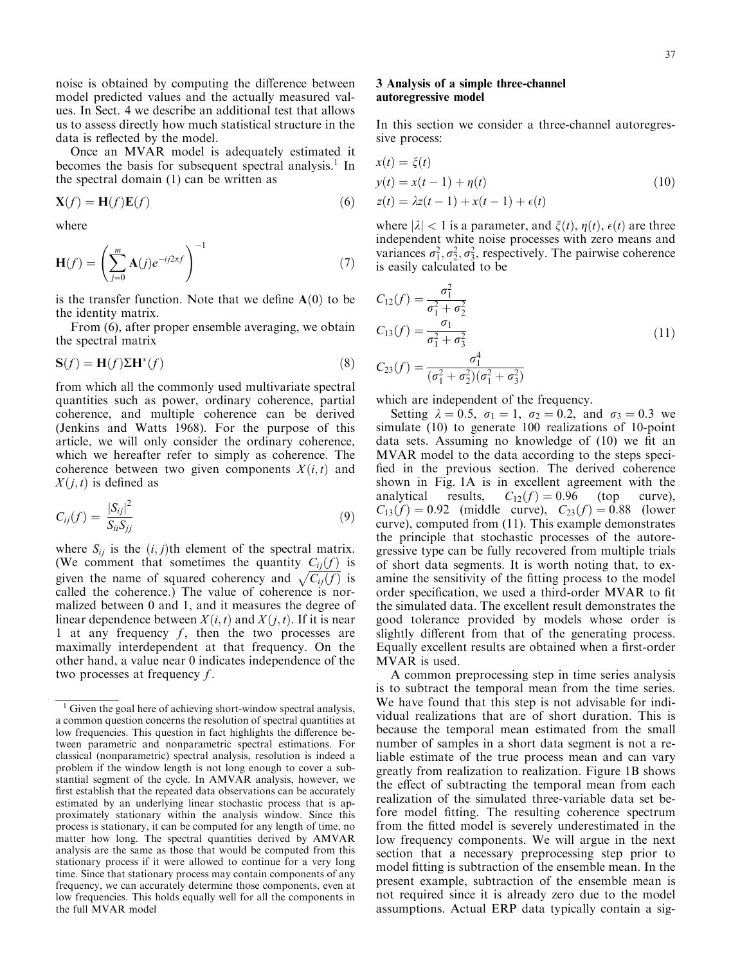37

noise is obtained by computing the difference between model predicted values and the actually measured values. In Sect. 4 we describe an additional test that allows us to assess directly how much statistical structure in the data is reflected by the model.

Once an MVAR model is adequately estimated it becomes the basis for subsequent spectral analysis.<sup>1</sup> In the spectral domain (1) can be written as

$$
\mathbf{X}(f) = \mathbf{H}(f)\mathbf{E}(f) \tag{6}
$$

where

$$
\mathbf{H}(f) = \left(\sum_{j=0}^{m} \mathbf{A}(j)e^{-ij2\pi f}\right)^{-1}
$$
\n(7)

is the transfer function. Note that we define  $A(0)$  to be the identity matrix.

From (6), after proper ensemble averaging, we obtain the spectral matrix

$$
\mathbf{S}(f) = \mathbf{H}(f)\Sigma\mathbf{H}^*(f) \tag{8}
$$

from which all the commonly used multivariate spectral quantities such as power, ordinary coherence, partial coherence, and multiple coherence can be derived (Jenkins and Watts 1968). For the purpose of this article, we will only consider the ordinary coherence, which we hereafter refer to simply as coherence. The coherence between two given components  $X(i, t)$  and  $X(j, t)$  is defined as

$$
C_{ij}(f) = \frac{|S_{ij}|^2}{S_{ii}S_{jj}}
$$
\n(9)

where  $S_{ij}$  is the  $(i, j)$ th element of the spectral matrix. (We comment that sometimes the quantity  $C_{ij}(f)$  is given the name of squared coherency and  $\sqrt{C_{ij}(f)}$  is called the coherence.) The value of coherence is normalized between 0 and 1, and it measures the degree of linear dependence between  $X(i, t)$  and  $X(j, t)$ . If it is near 1 at any frequency  $f$ , then the two processes are maximally interdependent at that frequency. On the other hand, a value near 0 indicates independence of the two processes at frequency  $f$ .

# 3 Analysis of a simple three-channel autoregressive model

In this section we consider a three-channel autoregressive process:

$$
x(t) = \xi(t) \n y(t) = x(t-1) + \eta(t) \n z(t) = \lambda z(t-1) + x(t-1) + \epsilon(t)
$$
\n(10)

where  $|\lambda| < 1$  is a parameter, and  $\xi(t)$ ,  $\eta(t)$ ,  $\epsilon(t)$  are three independent white noise processes with zero means and variances  $\sigma_1^2, \sigma_2^2, \sigma_3^2$ , respectively. The pairwise coherence is easily calculated to be

$$
C_{12}(f) = \frac{\sigma_1^2}{\sigma_1^2 + \sigma_2^2}
$$
  
\n
$$
C_{13}(f) = \frac{\sigma_1}{\sigma_1^2 + \sigma_3^2}
$$
  
\n
$$
C_{23}(f) = \frac{\sigma_1^4}{(\sigma_1^2 + \sigma_2^2)(\sigma_1^2 + \sigma_3^2)}
$$
\n(11)

which are independent of the frequency.

Setting  $\lambda = 0.5$ ,  $\sigma_1 = 1$ ,  $\sigma_2 = 0.2$ , and  $\sigma_3 = 0.3$  we simulate (10) to generate 100 realizations of 10-point data sets. Assuming no knowledge of  $(10)$  we fit an MVAR model to the data according to the steps speci fied in the previous section. The derived coherence shown in Fig. 1A is in excellent agreement with the analytical results,  $C_{12}(f) = 0.96$  (top curve),  $C_{13}(f) = 0.92$  (middle curve),  $C_{23}(f) = 0.88$  (lower curve), computed from (11). This example demonstrates the principle that stochastic processes of the autoregressive type can be fully recovered from multiple trials of short data segments. It is worth noting that, to examine the sensitivity of the fitting process to the model order specification, we used a third-order MVAR to fit the simulated data. The excellent result demonstrates the good tolerance provided by models whose order is slightly different from that of the generating process. Equally excellent results are obtained when a first-order MVAR is used.

A common preprocessing step in time series analysis is to subtract the temporal mean from the time series. We have found that this step is not advisable for individual realizations that are of short duration. This is because the temporal mean estimated from the small number of samples in a short data segment is not a reliable estimate of the true process mean and can vary greatly from realization to realization. Figure 1B shows the effect of subtracting the temporal mean from each realization of the simulated three-variable data set before model fitting. The resulting coherence spectrum from the fitted model is severely underestimated in the low frequency components. We will argue in the next section that a necessary preprocessing step prior to model fitting is subtraction of the ensemble mean. In the present example, subtraction of the ensemble mean is not required since it is already zero due to the model assumptions. Actual ERP data typically contain a sig-

<sup>&</sup>lt;sup>1</sup> Given the goal here of achieving short-window spectral analysis, a common question concerns the resolution of spectral quantities at low frequencies. This question in fact highlights the difference between parametric and nonparametric spectral estimations. For classical (nonparametric) spectral analysis, resolution is indeed a problem if the window length is not long enough to cover a substantial segment of the cycle. In AMVAR analysis, however, we first establish that the repeated data observations can be accurately estimated by an underlying linear stochastic process that is approximately stationary within the analysis window. Since this process is stationary, it can be computed for any length of time, no matter how long. The spectral quantities derived by AMVAR analysis are the same as those that would be computed from this stationary process if it were allowed to continue for a very long time. Since that stationary process may contain components of any frequency, we can accurately determine those components, even at low frequencies. This holds equally well for all the components in the full MVAR model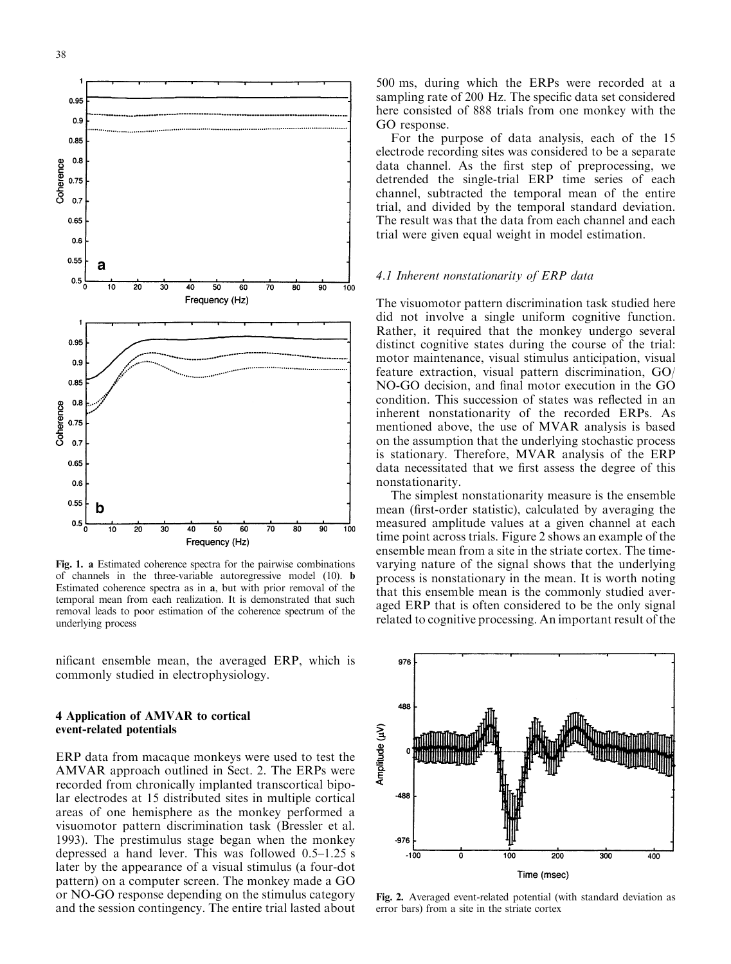

Fig. 1. a Estimated coherence spectra for the pairwise combinations of channels in the three-variable autoregressive model (10). b Estimated coherence spectra as in a, but with prior removal of the temporal mean from each realization. It is demonstrated that such removal leads to poor estimation of the coherence spectrum of the underlying process

nificant ensemble mean, the averaged ERP, which is commonly studied in electrophysiology.

#### 4 Application of AMVAR to cortical event-related potentials

ERP data from macaque monkeys were used to test the AMVAR approach outlined in Sect. 2. The ERPs were recorded from chronically implanted transcortical bipolar electrodes at 15 distributed sites in multiple cortical areas of one hemisphere as the monkey performed a visuomotor pattern discrimination task (Bressler et al. 1993). The prestimulus stage began when the monkey depressed a hand lever. This was followed  $0.5-1.25$  s later by the appearance of a visual stimulus (a four-dot pattern) on a computer screen. The monkey made a GO or NO-GO response depending on the stimulus category and the session contingency. The entire trial lasted about 500 ms, during which the ERPs were recorded at a sampling rate of 200 Hz. The specific data set considered here consisted of 888 trials from one monkey with the GO response.

For the purpose of data analysis, each of the 15 electrode recording sites was considered to be a separate data channel. As the first step of preprocessing, we detrended the single-trial ERP time series of each channel, subtracted the temporal mean of the entire trial, and divided by the temporal standard deviation. The result was that the data from each channel and each trial were given equal weight in model estimation.

#### 4.1 Inherent nonstationarity of ERP data

The visuomotor pattern discrimination task studied here did not involve a single uniform cognitive function. Rather, it required that the monkey undergo several distinct cognitive states during the course of the trial: motor maintenance, visual stimulus anticipation, visual feature extraction, visual pattern discrimination, GO/ NO-GO decision, and final motor execution in the GO condition. This succession of states was reflected in an inherent nonstationarity of the recorded ERPs. As mentioned above, the use of MVAR analysis is based on the assumption that the underlying stochastic process is stationary. Therefore, MVAR analysis of the ERP data necessitated that we first assess the degree of this nonstationarity.

The simplest nonstationarity measure is the ensemble mean (first-order statistic), calculated by averaging the measured amplitude values at a given channel at each time point across trials. Figure 2 shows an example of the ensemble mean from a site in the striate cortex. The timevarying nature of the signal shows that the underlying process is nonstationary in the mean. It is worth noting that this ensemble mean is the commonly studied averaged ERP that is often considered to be the only signal related to cognitive processing. An important result of the



Fig. 2. Averaged event-related potential (with standard deviation as error bars) from a site in the striate cortex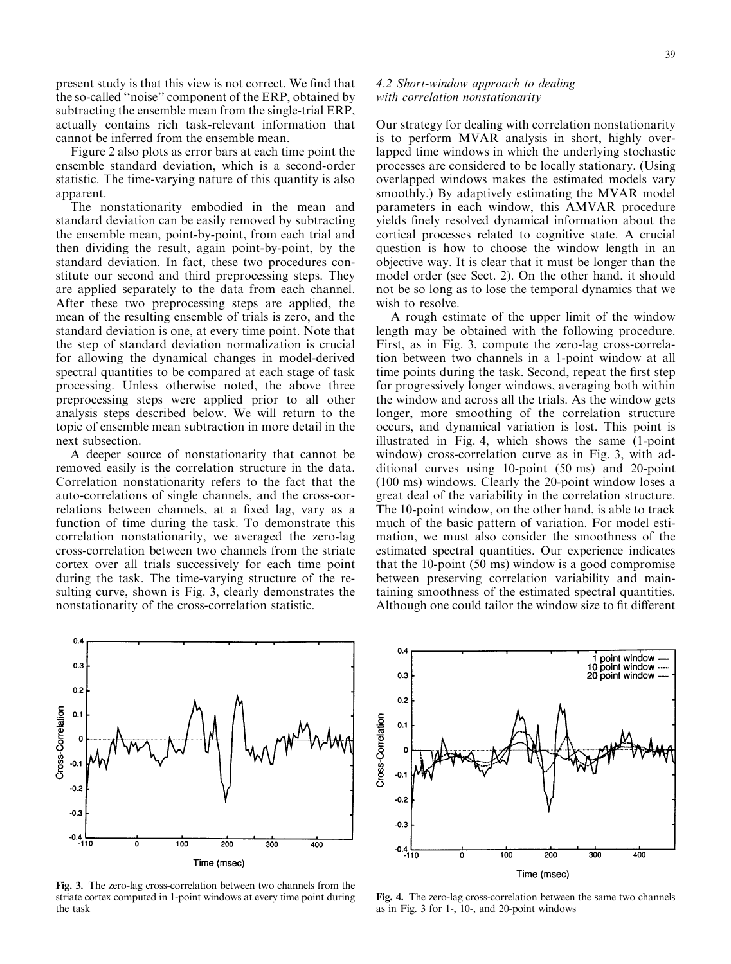present study is that this view is not correct. We find that the so-called "noise" component of the ERP, obtained by subtracting the ensemble mean from the single-trial ERP, actually contains rich task-relevant information that cannot be inferred from the ensemble mean.

Figure 2 also plots as error bars at each time point the ensemble standard deviation, which is a second-order statistic. The time-varying nature of this quantity is also apparent.

The nonstationarity embodied in the mean and standard deviation can be easily removed by subtracting the ensemble mean, point-by-point, from each trial and then dividing the result, again point-by-point, by the standard deviation. In fact, these two procedures constitute our second and third preprocessing steps. They are applied separately to the data from each channel. After these two preprocessing steps are applied, the mean of the resulting ensemble of trials is zero, and the standard deviation is one, at every time point. Note that the step of standard deviation normalization is crucial for allowing the dynamical changes in model-derived spectral quantities to be compared at each stage of task processing. Unless otherwise noted, the above three preprocessing steps were applied prior to all other analysis steps described below. We will return to the topic of ensemble mean subtraction in more detail in the next subsection.

A deeper source of nonstationarity that cannot be removed easily is the correlation structure in the data. Correlation nonstationarity refers to the fact that the auto-correlations of single channels, and the cross-correlations between channels, at a fixed lag, vary as a function of time during the task. To demonstrate this correlation nonstationarity, we averaged the zero-lag cross-correlation between two channels from the striate cortex over all trials successively for each time point during the task. The time-varying structure of the resulting curve, shown is Fig. 3, clearly demonstrates the nonstationarity of the cross-correlation statistic.

# 4.2 Short-window approach to dealing with correlation nonstationarity

Our strategy for dealing with correlation nonstationarity is to perform MVAR analysis in short, highly overlapped time windows in which the underlying stochastic processes are considered to be locally stationary. (Using overlapped windows makes the estimated models vary smoothly.) By adaptively estimating the MVAR model parameters in each window, this AMVAR procedure yields finely resolved dynamical information about the cortical processes related to cognitive state. A crucial question is how to choose the window length in an objective way. It is clear that it must be longer than the model order (see Sect. 2). On the other hand, it should not be so long as to lose the temporal dynamics that we wish to resolve.

A rough estimate of the upper limit of the window length may be obtained with the following procedure. First, as in Fig. 3, compute the zero-lag cross-correlation between two channels in a 1-point window at all time points during the task. Second, repeat the first step for progressively longer windows, averaging both within the window and across all the trials. As the window gets longer, more smoothing of the correlation structure occurs, and dynamical variation is lost. This point is illustrated in Fig. 4, which shows the same (1-point window) cross-correlation curve as in Fig. 3, with additional curves using 10-point (50 ms) and 20-point (100 ms) windows. Clearly the 20-point window loses a great deal of the variability in the correlation structure. The 10-point window, on the other hand, is able to track much of the basic pattern of variation. For model estimation, we must also consider the smoothness of the estimated spectral quantities. Our experience indicates that the 10-point (50 ms) window is a good compromise between preserving correlation variability and maintaining smoothness of the estimated spectral quantities. Although one could tailor the window size to fit different

Fig. 3. The zero-lag cross-correlation between two channels from the striate cortex computed in 1-point windows at every time point during the task

Fig. 4. The zero-lag cross-correlation between the same two channels as in Fig. 3 for 1-, 10-, and 20-point windows



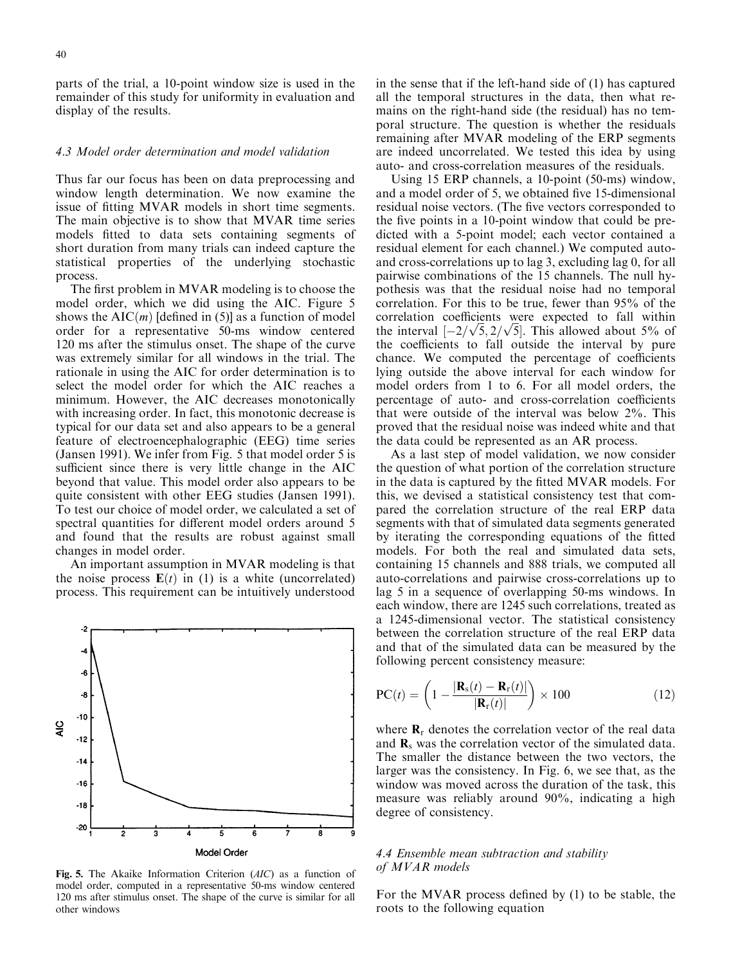40

parts of the trial, a 10-point window size is used in the remainder of this study for uniformity in evaluation and display of the results.

#### 4.3 Model order determination and model validation

Thus far our focus has been on data preprocessing and window length determination. We now examine the issue of fitting MVAR models in short time segments. The main objective is to show that MVAR time series models fitted to data sets containing segments of short duration from many trials can indeed capture the statistical properties of the underlying stochastic process.

The first problem in MVAR modeling is to choose the model order, which we did using the AIC. Figure 5 shows the  $AIC(m)$  [defined in (5)] as a function of model order for a representative 50-ms window centered 120 ms after the stimulus onset. The shape of the curve was extremely similar for all windows in the trial. The rationale in using the AIC for order determination is to select the model order for which the AIC reaches a minimum. However, the AIC decreases monotonically with increasing order. In fact, this monotonic decrease is typical for our data set and also appears to be a general feature of electroencephalographic (EEG) time series (Jansen 1991). We infer from Fig. 5 that model order 5 is sufficient since there is very little change in the AIC beyond that value. This model order also appears to be quite consistent with other EEG studies (Jansen 1991). To test our choice of model order, we calculated a set of spectral quantities for different model orders around 5 and found that the results are robust against small changes in model order.

An important assumption in MVAR modeling is that the noise process  $E(t)$  in (1) is a white (uncorrelated) process. This requirement can be intuitively understood



Fig. 5. The Akaike Information Criterion (AIC) as a function of model order, computed in a representative 50-ms window centered 120 ms after stimulus onset. The shape of the curve is similar for all other windows

in the sense that if the left-hand side of (1) has captured all the temporal structures in the data, then what remains on the right-hand side (the residual) has no temporal structure. The question is whether the residuals remaining after MVAR modeling of the ERP segments are indeed uncorrelated. We tested this idea by using auto- and cross-correlation measures of the residuals.

Using 15 ERP channels, a 10-point (50-ms) window, and a model order of 5, we obtained five 15-dimensional residual noise vectors. (The five vectors corresponded to the five points in a 10-point window that could be predicted with a 5-point model; each vector contained a residual element for each channel.) We computed autoand cross-correlations up to lag 3, excluding lag 0, for all pairwise combinations of the 15 channels. The null hypothesis was that the residual noise had no temporal correlation. For this to be true, fewer than 95% of the correlation coefficients were expected to fall within correlation coefficients were expected to fall within<br>the interval  $[-2/\sqrt{5}, 2/\sqrt{5}]$ . This allowed about 5% of the coefficients to fall outside the interval by pure chance. We computed the percentage of coefficients lying outside the above interval for each window for model orders from 1 to 6. For all model orders, the percentage of auto- and cross-correlation coefficients that were outside of the interval was below 2%. This proved that the residual noise was indeed white and that the data could be represented as an AR process.

As a last step of model validation, we now consider the question of what portion of the correlation structure in the data is captured by the fitted MVAR models. For this, we devised a statistical consistency test that compared the correlation structure of the real ERP data segments with that of simulated data segments generated by iterating the corresponding equations of the fitted models. For both the real and simulated data sets, containing 15 channels and 888 trials, we computed all auto-correlations and pairwise cross-correlations up to lag 5 in a sequence of overlapping 50-ms windows. In each window, there are 1245 such correlations, treated as a 1245-dimensional vector. The statistical consistency between the correlation structure of the real ERP data and that of the simulated data can be measured by the following percent consistency measure:

$$
PC(t) = \left(1 - \frac{|\mathbf{R}_s(t) - \mathbf{R}_r(t)|}{|\mathbf{R}_r(t)|}\right) \times 100
$$
 (12)

where  $\mathbf{R}_r$  denotes the correlation vector of the real data and  $\mathbf{R}_s$  was the correlation vector of the simulated data. The smaller the distance between the two vectors, the larger was the consistency. In Fig. 6, we see that, as the window was moved across the duration of the task, this measure was reliably around 90%, indicating a high degree of consistency.

## 4.4 Ensemble mean subtraction and stability of MVAR models

For the MVAR process defined by  $(1)$  to be stable, the roots to the following equation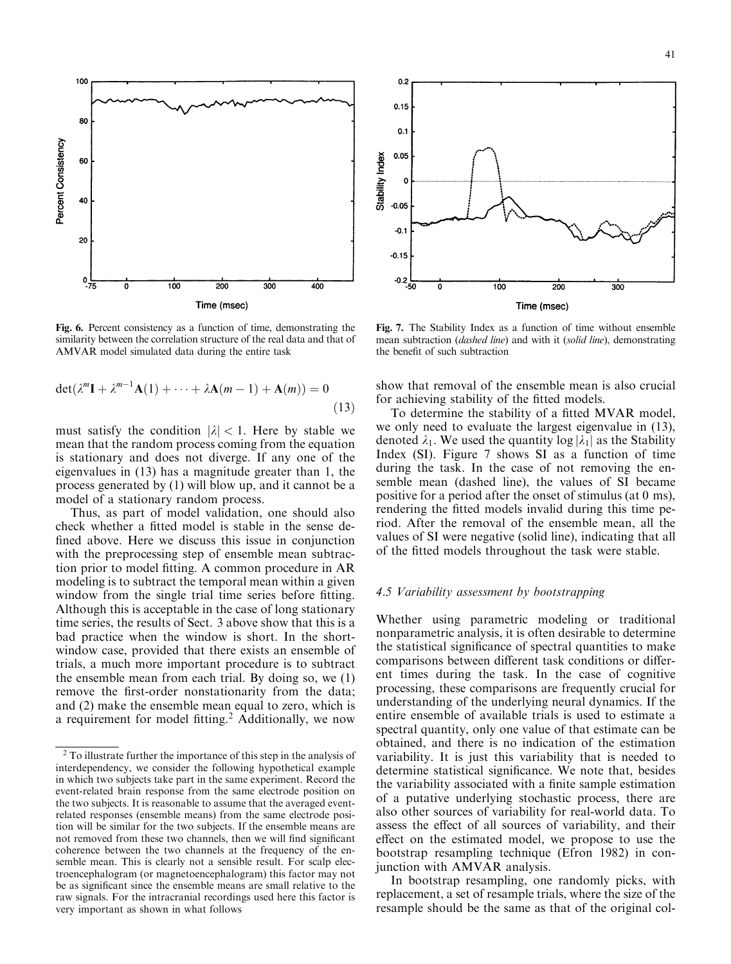

Fig. 6. Percent consistency as a function of time, demonstrating the similarity between the correlation structure of the real data and that of AMVAR model simulated data during the entire task

$$
\det(\lambda^m \mathbf{I} + \lambda^{m-1} \mathbf{A}(1) + \dots + \lambda \mathbf{A}(m-1) + \mathbf{A}(m)) = 0
$$
\n(13)

must satisfy the condition  $|\lambda| < 1$ . Here by stable we mean that the random process coming from the equation is stationary and does not diverge. If any one of the eigenvalues in (13) has a magnitude greater than 1, the process generated by (1) will blow up, and it cannot be a model of a stationary random process.

Thus, as part of model validation, one should also check whether a fitted model is stable in the sense defined above. Here we discuss this issue in conjunction with the preprocessing step of ensemble mean subtraction prior to model fitting. A common procedure in AR modeling is to subtract the temporal mean within a given window from the single trial time series before fitting. Although this is acceptable in the case of long stationary time series, the results of Sect. 3 above show that this is a bad practice when the window is short. In the shortwindow case, provided that there exists an ensemble of trials, a much more important procedure is to subtract the ensemble mean from each trial. By doing so, we (1) remove the first-order nonstationarity from the data; and (2) make the ensemble mean equal to zero, which is a requirement for model fitting.<sup>2</sup> Additionally, we now



Fig. 7. The Stability Index as a function of time without ensemble mean subtraction (dashed line) and with it (solid line), demonstrating the benefit of such subtraction

show that removal of the ensemble mean is also crucial for achieving stability of the fitted models.

To determine the stability of a fitted MVAR model, we only need to evaluate the largest eigenvalue in (13), denoted  $\lambda_1$ . We used the quantity log  $|\lambda_1|$  as the Stability Index (SI). Figure 7 shows SI as a function of time during the task. In the case of not removing the ensemble mean (dashed line), the values of SI became positive for a period after the onset of stimulus (at 0 ms), rendering the fitted models invalid during this time period. After the removal of the ensemble mean, all the values of SI were negative (solid line), indicating that all of the fitted models throughout the task were stable.

### 4.5 Variability assessment by bootstrapping

Whether using parametric modeling or traditional nonparametric analysis, it is often desirable to determine the statistical significance of spectral quantities to make comparisons between different task conditions or different times during the task. In the case of cognitive processing, these comparisons are frequently crucial for understanding of the underlying neural dynamics. If the entire ensemble of available trials is used to estimate a spectral quantity, only one value of that estimate can be obtained, and there is no indication of the estimation variability. It is just this variability that is needed to determine statistical significance. We note that, besides the variability associated with a finite sample estimation of a putative underlying stochastic process, there are also other sources of variability for real-world data. To assess the effect of all sources of variability, and their effect on the estimated model, we propose to use the bootstrap resampling technique (Efron 1982) in conjunction with AMVAR analysis.

In bootstrap resampling, one randomly picks, with replacement, a set of resample trials, where the size of the resample should be the same as that of the original col-

<sup>2</sup> To illustrate further the importance of this step in the analysis of interdependency, we consider the following hypothetical example in which two subjects take part in the same experiment. Record the event-related brain response from the same electrode position on the two subjects. It is reasonable to assume that the averaged eventrelated responses (ensemble means) from the same electrode position will be similar for the two subjects. If the ensemble means are not removed from these two channels, then we will find significant coherence between the two channels at the frequency of the ensemble mean. This is clearly not a sensible result. For scalp electroencephalogram (or magnetoencephalogram) this factor may not be as significant since the ensemble means are small relative to the raw signals. For the intracranial recordings used here this factor is very important as shown in what follows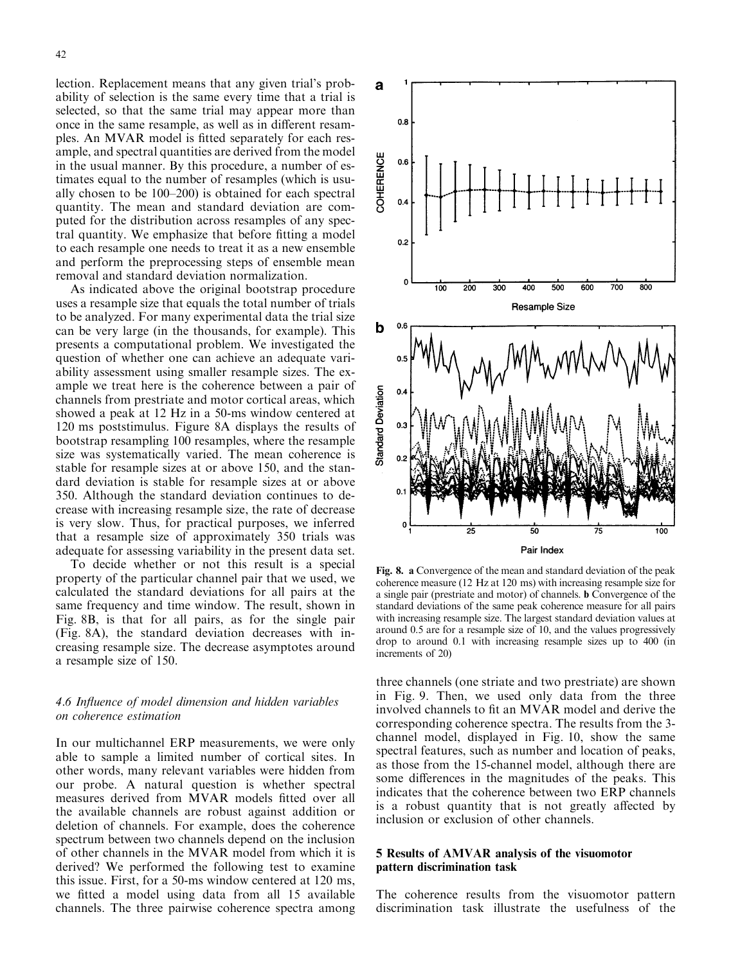lection. Replacement means that any given trial's probability of selection is the same every time that a trial is selected, so that the same trial may appear more than once in the same resample, as well as in different resamples. An MVAR model is fitted separately for each resample, and spectral quantities are derived from the model in the usual manner. By this procedure, a number of estimates equal to the number of resamples (which is usually chosen to be  $100-200$ ) is obtained for each spectral quantity. The mean and standard deviation are computed for the distribution across resamples of any spectral quantity. We emphasize that before fitting a model to each resample one needs to treat it as a new ensemble and perform the preprocessing steps of ensemble mean removal and standard deviation normalization.

As indicated above the original bootstrap procedure uses a resample size that equals the total number of trials to be analyzed. For many experimental data the trial size can be very large (in the thousands, for example). This presents a computational problem. We investigated the question of whether one can achieve an adequate variability assessment using smaller resample sizes. The example we treat here is the coherence between a pair of channels from prestriate and motor cortical areas, which showed a peak at 12 Hz in a 50-ms window centered at 120 ms poststimulus. Figure 8A displays the results of bootstrap resampling 100 resamples, where the resample size was systematically varied. The mean coherence is stable for resample sizes at or above 150, and the standard deviation is stable for resample sizes at or above 350. Although the standard deviation continues to decrease with increasing resample size, the rate of decrease is very slow. Thus, for practical purposes, we inferred that a resample size of approximately 350 trials was adequate for assessing variability in the present data set.

To decide whether or not this result is a special property of the particular channel pair that we used, we calculated the standard deviations for all pairs at the same frequency and time window. The result, shown in Fig. 8B, is that for all pairs, as for the single pair (Fig. 8A), the standard deviation decreases with increasing resample size. The decrease asymptotes around a resample size of 150.

# 4.6 Influence of model dimension and hidden variables on coherence estimation

In our multichannel ERP measurements, we were only able to sample a limited number of cortical sites. In other words, many relevant variables were hidden from our probe. A natural question is whether spectral measures derived from MVAR models fitted over all the available channels are robust against addition or deletion of channels. For example, does the coherence spectrum between two channels depend on the inclusion of other channels in the MVAR model from which it is derived? We performed the following test to examine this issue. First, for a 50-ms window centered at 120 ms, we fitted a model using data from all 15 available channels. The three pairwise coherence spectra among



Fig. 8. a Convergence of the mean and standard deviation of the peak coherence measure (12 Hz at 120 ms) with increasing resample size for a single pair (prestriate and motor) of channels. b Convergence of the standard deviations of the same peak coherence measure for all pairs with increasing resample size. The largest standard deviation values at around 0.5 are for a resample size of 10, and the values progressively drop to around 0.1 with increasing resample sizes up to 400 (in increments of 20)

three channels (one striate and two prestriate) are shown in Fig. 9. Then, we used only data from the three involved channels to fit an MVAR model and derive the corresponding coherence spectra. The results from the 3 channel model, displayed in Fig. 10, show the same spectral features, such as number and location of peaks, as those from the 15-channel model, although there are some differences in the magnitudes of the peaks. This indicates that the coherence between two ERP channels is a robust quantity that is not greatly affected by inclusion or exclusion of other channels.

### 5 Results of AMVAR analysis of the visuomotor pattern discrimination task

The coherence results from the visuomotor pattern discrimination task illustrate the usefulness of the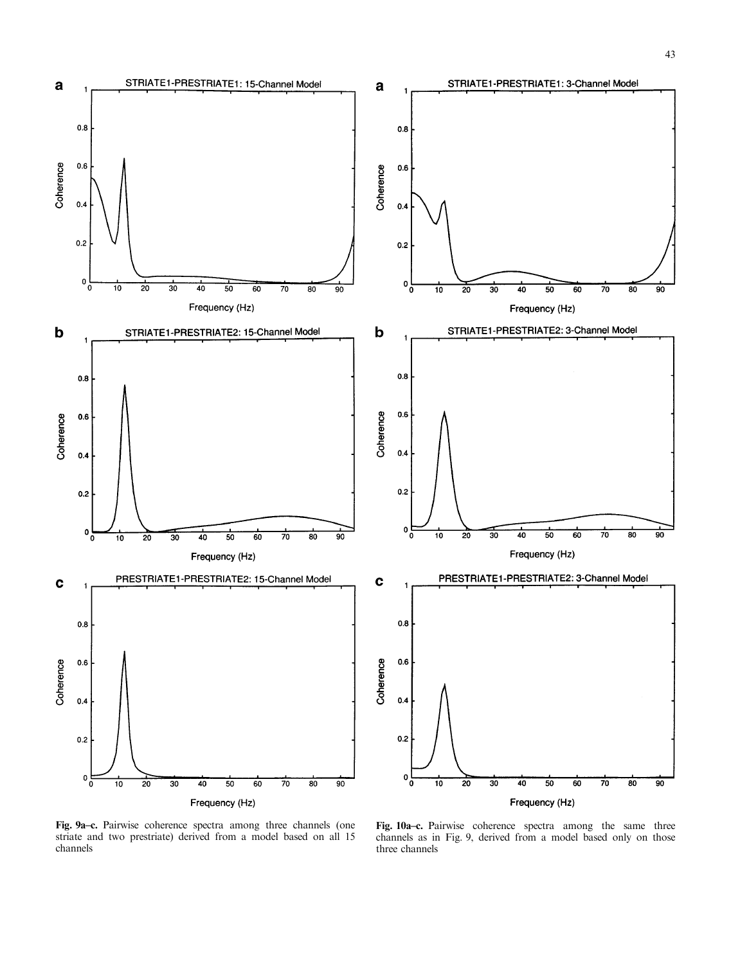

Fig. 9a-c. Pairwise coherence spectra among three channels (one striate and two prestriate) derived from a model based on all 15 channels

Fig. 10a-c. Pairwise coherence spectra among the same three channels as in Fig. 9, derived from a model based only on those three channels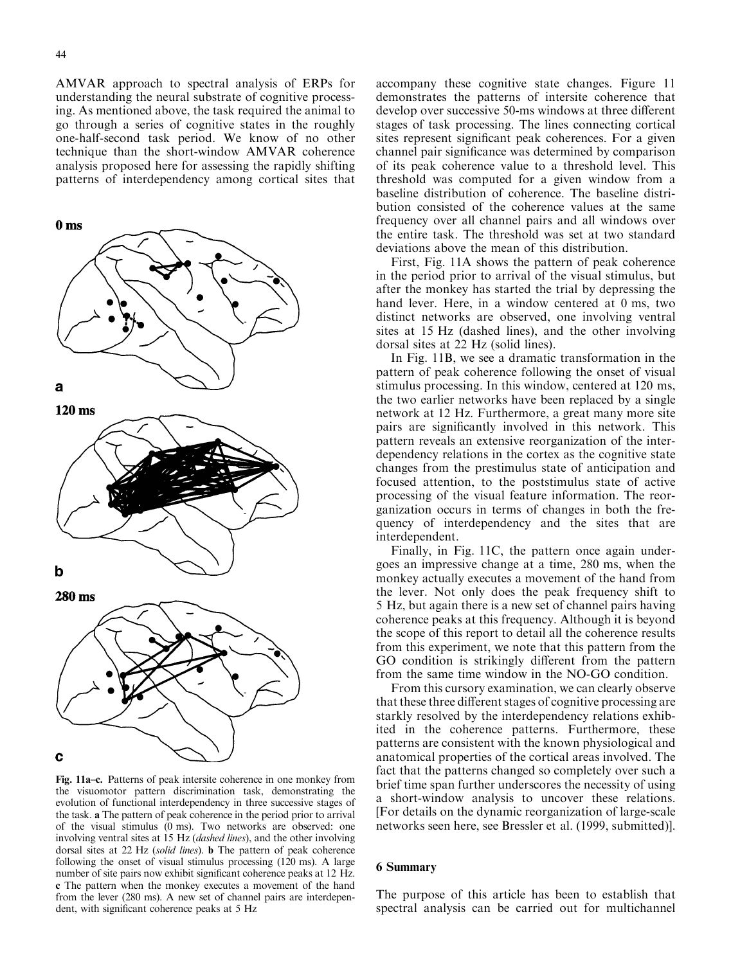AMVAR approach to spectral analysis of ERPs for understanding the neural substrate of cognitive processing. As mentioned above, the task required the animal to go through a series of cognitive states in the roughly one-half-second task period. We know of no other technique than the short-window AMVAR coherence analysis proposed here for assessing the rapidly shifting patterns of interdependency among cortical sites that



Fig. 11a-c. Patterns of peak intersite coherence in one monkey from the visuomotor pattern discrimination task, demonstrating the evolution of functional interdependency in three successive stages of the task. a The pattern of peak coherence in the period prior to arrival of the visual stimulus (0 ms). Two networks are observed: one involving ventral sites at 15 Hz (dashed lines), and the other involving dorsal sites at 22 Hz (solid lines). **b** The pattern of peak coherence following the onset of visual stimulus processing (120 ms). A large number of site pairs now exhibit significant coherence peaks at 12 Hz. c The pattern when the monkey executes a movement of the hand from the lever (280 ms). A new set of channel pairs are interdependent, with significant coherence peaks at 5 Hz

accompany these cognitive state changes. Figure 11 demonstrates the patterns of intersite coherence that develop over successive 50-ms windows at three different stages of task processing. The lines connecting cortical sites represent significant peak coherences. For a given channel pair significance was determined by comparison of its peak coherence value to a threshold level. This threshold was computed for a given window from a baseline distribution of coherence. The baseline distribution consisted of the coherence values at the same frequency over all channel pairs and all windows over the entire task. The threshold was set at two standard deviations above the mean of this distribution.

First, Fig. 11A shows the pattern of peak coherence in the period prior to arrival of the visual stimulus, but after the monkey has started the trial by depressing the hand lever. Here, in a window centered at 0 ms, two distinct networks are observed, one involving ventral sites at 15 Hz (dashed lines), and the other involving dorsal sites at 22 Hz (solid lines).

In Fig. 11B, we see a dramatic transformation in the pattern of peak coherence following the onset of visual stimulus processing. In this window, centered at 120 ms, the two earlier networks have been replaced by a single network at 12 Hz. Furthermore, a great many more site pairs are significantly involved in this network. This pattern reveals an extensive reorganization of the interdependency relations in the cortex as the cognitive state changes from the prestimulus state of anticipation and focused attention, to the poststimulus state of active processing of the visual feature information. The reorganization occurs in terms of changes in both the frequency of interdependency and the sites that are interdependent.

Finally, in Fig. 11C, the pattern once again undergoes an impressive change at a time, 280 ms, when the monkey actually executes a movement of the hand from the lever. Not only does the peak frequency shift to 5 Hz, but again there is a new set of channel pairs having coherence peaks at this frequency. Although it is beyond the scope of this report to detail all the coherence results from this experiment, we note that this pattern from the GO condition is strikingly different from the pattern from the same time window in the NO-GO condition.

From this cursory examination, we can clearly observe that these three different stages of cognitive processing are starkly resolved by the interdependency relations exhibited in the coherence patterns. Furthermore, these patterns are consistent with the known physiological and anatomical properties of the cortical areas involved. The fact that the patterns changed so completely over such a brief time span further underscores the necessity of using a short-window analysis to uncover these relations. [For details on the dynamic reorganization of large-scale networks seen here, see Bressler et al. (1999, submitted)].

#### 6 Summary

The purpose of this article has been to establish that spectral analysis can be carried out for multichannel